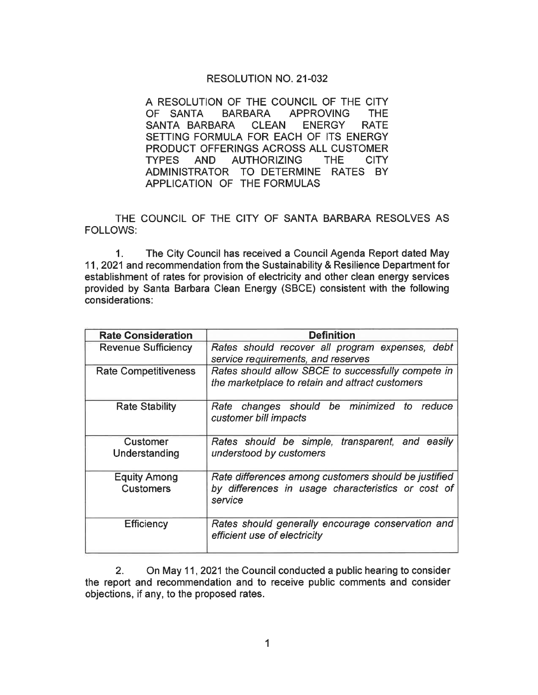## RESOLUTION NO. 21-032

A RESOLUTION OF THE COUNCIL OF THE CITY OF SANTA BARBARA APPROVING THE SANTA BARBARA CLEAN ENERGY RATE SETTING FORMULA FOR EACH OF ITS ENERGY PRODUCT OFFERINGS ACROSS ALL CUSTOMER TYPES AND AUTHORIZING THE CITY ADMINISTRATOR TO DETERMINE RATES BY APPLICATION OF THE FORMULAS

THE COUNCIL OF THE CITY OF SANTA BARBARA RESOLVES AS FOLLOWS:

1. The City Council has received a Council Agenda Report dated May 11, 2021 and recommendation from the Sustainability & Resilience Department for establishment of rates for provision of electricity and other clean energy services provided by Santa Barbara Clean Energy (SBCE) consistent with the following considerations:

| <b>Rate Consideration</b>               | <b>Definition</b>                                                                                                     |
|-----------------------------------------|-----------------------------------------------------------------------------------------------------------------------|
| <b>Revenue Sufficiency</b>              | Rates should recover all program expenses, debt<br>service requirements, and reserves                                 |
| <b>Rate Competitiveness</b>             | Rates should allow SBCE to successfully compete in<br>the marketplace to retain and attract customers                 |
| <b>Rate Stability</b>                   | Rate changes should be minimized<br>reduce<br>to<br>customer bill impacts                                             |
| Customer<br>Understanding               | Rates should be simple, transparent, and easily<br>understood by customers                                            |
| <b>Equity Among</b><br><b>Customers</b> | Rate differences among customers should be justified<br>by differences in usage characteristics or cost of<br>service |
| <b>Efficiency</b>                       | Rates should generally encourage conservation and<br>efficient use of electricity                                     |

2. On May 11 , 2021 the Council conducted a public hearing to consider the report and recommendation and to receive public comments and consider objections, if any, to the proposed rates.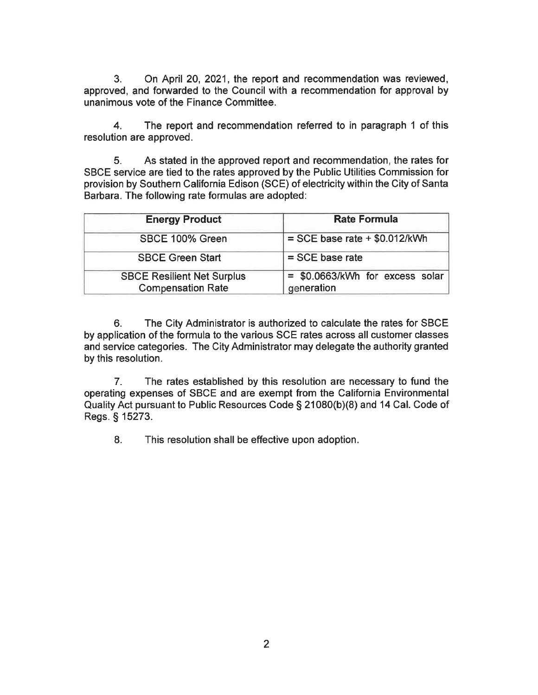3. On April 20, 2021, the report and recommendation was reviewed, approved, and forwarded to the Council with a recommendation for approval by unanimous vote of the Finance Committee.

4. The report and recommendation referred to in paragraph 1 of this resolution are approved.

5. As stated in the approved report and recommendation, the rates for SBCE service are tied to the rates approved by the Public Utilities Commission for provision by Southern California Edison (SCE) of electricity within the City of Santa Barbara. The following rate formulas are adopted:

| <b>Energy Product</b>                                         | <b>Rate Formula</b>                           |
|---------------------------------------------------------------|-----------------------------------------------|
| SBCE 100% Green                                               | $=$ SCE base rate + \$0.012/kWh               |
| <b>SBCE Green Start</b>                                       | $=$ SCE base rate                             |
| <b>SBCE Resilient Net Surplus</b><br><b>Compensation Rate</b> | = \$0.0663/kWh for excess solar<br>generation |

6. The City Administrator is authorized to calculate the rates for SBCE by application of the formula to the various SCE rates across all customer classes and service categories. The City Administrator may delegate the authority granted by this resolution.

7. The rates established by this resolution are necessary to fund the operating expenses of SBCE and are exempt from the California Environmental Quality Act pursuant to Public Resources Code § 21080(b)(8) and 14Cal. Code of Regs. §15273.

8. This resolution shall be effective upon adoption.